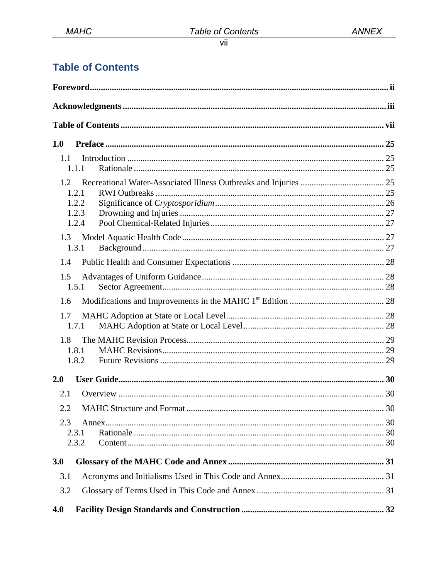# **Table of Contents**

| 1.0                                              |    |
|--------------------------------------------------|----|
| 1.1<br>1.1.1                                     |    |
| 1.2<br>1.2.1<br>1.2.2<br>1.2.3<br>1.2.4          |    |
| 1.3<br>1.3.1                                     |    |
| 1.4<br>1.5<br>1.5.1                              |    |
| 1.6                                              |    |
| 1.7<br>1.7.1                                     |    |
| 1.8<br>1.8.1<br>1.8.2                            |    |
| 2.0                                              |    |
| 2.1<br><b>MAHC Structure and Format.</b><br>2.2. | 30 |
| 2.3<br>2.3.1<br>2.3.2                            |    |
| 3.0                                              |    |
| 3.1                                              |    |
| 3.2                                              |    |
| 4.0                                              |    |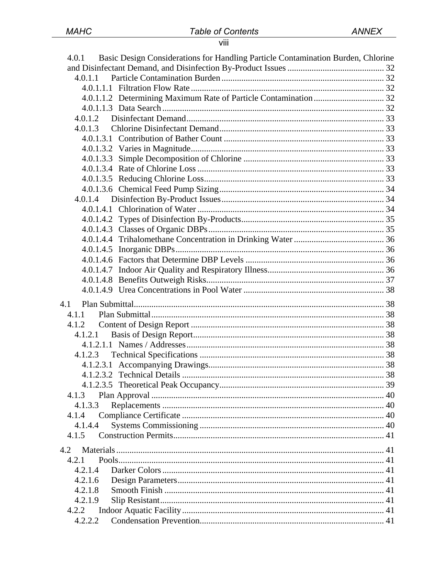# viii

| Basic Design Considerations for Handling Particle Contamination Burden, Chlorine<br>4.0.1 |  |
|-------------------------------------------------------------------------------------------|--|
| 4.0.1.1                                                                                   |  |
|                                                                                           |  |
|                                                                                           |  |
|                                                                                           |  |
|                                                                                           |  |
| 4.0.1.3                                                                                   |  |
|                                                                                           |  |
|                                                                                           |  |
|                                                                                           |  |
|                                                                                           |  |
|                                                                                           |  |
|                                                                                           |  |
|                                                                                           |  |
|                                                                                           |  |
|                                                                                           |  |
|                                                                                           |  |
|                                                                                           |  |
|                                                                                           |  |
|                                                                                           |  |
|                                                                                           |  |
|                                                                                           |  |
|                                                                                           |  |
| 4.1                                                                                       |  |
| 4.1.1                                                                                     |  |
|                                                                                           |  |
| 4.1.2.1                                                                                   |  |
|                                                                                           |  |
|                                                                                           |  |
|                                                                                           |  |
|                                                                                           |  |
|                                                                                           |  |
| 4.1.3<br>4.1.3.3                                                                          |  |
| 4.1.4                                                                                     |  |
| 4.1.4.4                                                                                   |  |
| 4.1.5                                                                                     |  |
|                                                                                           |  |
| 4.2                                                                                       |  |
| 4.2.1                                                                                     |  |
| 4.2.1.4                                                                                   |  |
| 4.2.1.6                                                                                   |  |
| 4.2.1.8                                                                                   |  |
| 4.2.1.9<br>4.2.2                                                                          |  |
| 4.2.2.2                                                                                   |  |
|                                                                                           |  |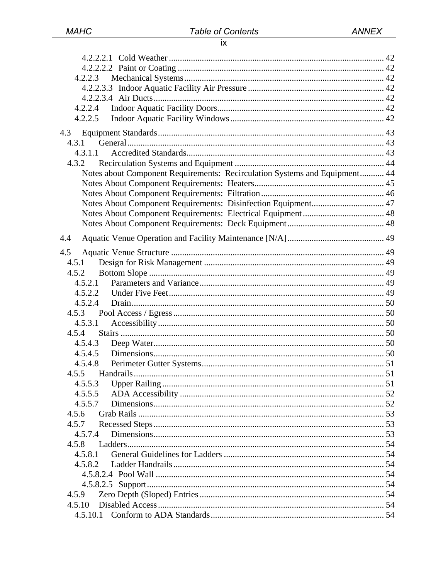| 4.2.2.4                                                                    |  |
|----------------------------------------------------------------------------|--|
| 4.2.2.5                                                                    |  |
|                                                                            |  |
| 4.3.1                                                                      |  |
| 4.3.1.1                                                                    |  |
| 4.3.2                                                                      |  |
| Notes about Component Requirements: Recirculation Systems and Equipment 44 |  |
|                                                                            |  |
|                                                                            |  |
| Notes About Component Requirements: Disinfection Equipment 47              |  |
|                                                                            |  |
|                                                                            |  |
|                                                                            |  |
| 4.4                                                                        |  |
| 4.5                                                                        |  |
| 4.5.1                                                                      |  |
| 4.5.2                                                                      |  |
| 4.5.2.1                                                                    |  |
| 4.5.2.2                                                                    |  |
| 4.5.2.4                                                                    |  |
|                                                                            |  |
| 4.5.3.1                                                                    |  |
|                                                                            |  |
| 4.5.4.3                                                                    |  |
| 4.5.4.5                                                                    |  |
| 4.5.4.8                                                                    |  |
|                                                                            |  |
| 4.5.5.3                                                                    |  |
| 4.5.5.5                                                                    |  |
| 4.5.5.7                                                                    |  |
| 4.5.6                                                                      |  |
| 4.5.7                                                                      |  |
| 4.5.7.4                                                                    |  |
| 4.5.8                                                                      |  |
| 4.5.8.1                                                                    |  |
| 4.5.8.2                                                                    |  |
|                                                                            |  |
|                                                                            |  |
| 4.5.9                                                                      |  |
| 4.5.10                                                                     |  |
|                                                                            |  |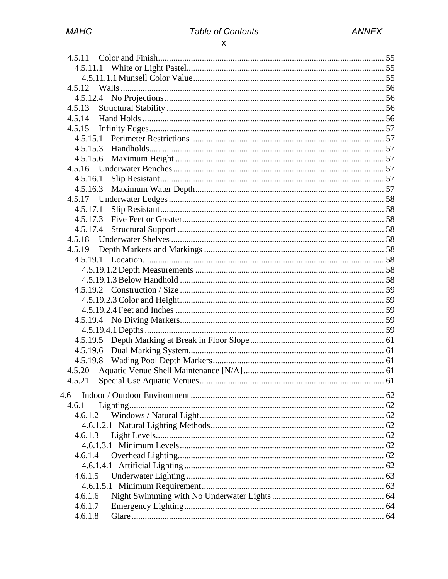| 4.5.13   |  |
|----------|--|
| 4.5.14   |  |
| 4.5.15   |  |
|          |  |
|          |  |
| 4.5.15.6 |  |
|          |  |
| 4.5.16.1 |  |
| 4.5.16.3 |  |
|          |  |
| 4.5.17.1 |  |
|          |  |
| 4.5.17.4 |  |
| 4.5.18   |  |
| 4.5.19   |  |
|          |  |
|          |  |
|          |  |
|          |  |
|          |  |
|          |  |
|          |  |
|          |  |
|          |  |
|          |  |
|          |  |
| 4.5.20   |  |
|          |  |
| 4.6      |  |
| 4.6.1    |  |
| 4.6.1.2  |  |
|          |  |
| 4.6.1.3  |  |
|          |  |
| 4.6.1.4  |  |
|          |  |
| 4.6.1.5  |  |
|          |  |
| 4.6.1.6  |  |
| 4.6.1.7  |  |
| 4.6.1.8  |  |
|          |  |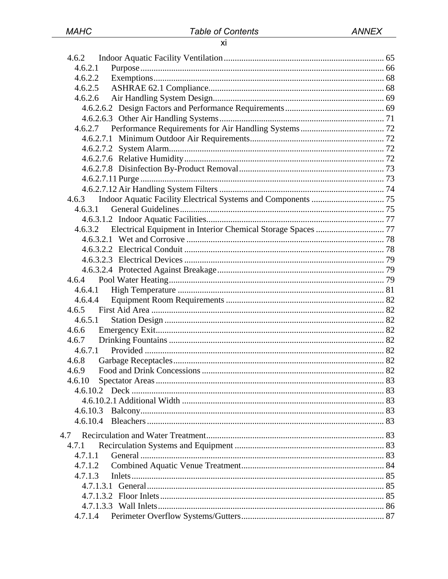| 4.6.2                                                                |  |
|----------------------------------------------------------------------|--|
| 4.6.2.1                                                              |  |
|                                                                      |  |
|                                                                      |  |
|                                                                      |  |
|                                                                      |  |
|                                                                      |  |
|                                                                      |  |
|                                                                      |  |
|                                                                      |  |
|                                                                      |  |
|                                                                      |  |
|                                                                      |  |
|                                                                      |  |
| 4.6.3                                                                |  |
| 4.6.3.1                                                              |  |
|                                                                      |  |
|                                                                      |  |
| 4.6.3.2 Electrical Equipment in Interior Chemical Storage Spaces  77 |  |
|                                                                      |  |
|                                                                      |  |
|                                                                      |  |
|                                                                      |  |
| 4.6.4                                                                |  |
| 4.6.4.1                                                              |  |
| 4.6.4.4                                                              |  |
| 4.6.5                                                                |  |
| 4.6.5.1                                                              |  |
| 4.6.6                                                                |  |
| 4.6.7                                                                |  |
| 4.6.7.1                                                              |  |
| 4.6.8                                                                |  |
| 4.6.9                                                                |  |
| 4.6.10                                                               |  |
|                                                                      |  |
|                                                                      |  |
| 4.6.10.3                                                             |  |
|                                                                      |  |
| 4.7                                                                  |  |
| 4.7.1                                                                |  |
| 4.7.1.1                                                              |  |
| 4.7.1.2                                                              |  |
| 4.7.1.3                                                              |  |
|                                                                      |  |
|                                                                      |  |
|                                                                      |  |
| 4.7.1.4                                                              |  |
|                                                                      |  |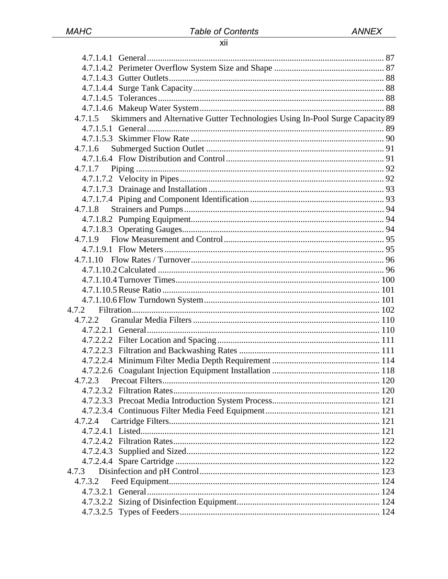# xii

| Skimmers and Alternative Gutter Technologies Using In-Pool Surge Capacity 89<br>4.7.1.5 |  |
|-----------------------------------------------------------------------------------------|--|
|                                                                                         |  |
|                                                                                         |  |
| 4.7.1.6                                                                                 |  |
|                                                                                         |  |
|                                                                                         |  |
|                                                                                         |  |
|                                                                                         |  |
|                                                                                         |  |
| 4.7.1.8                                                                                 |  |
|                                                                                         |  |
|                                                                                         |  |
|                                                                                         |  |
|                                                                                         |  |
|                                                                                         |  |
|                                                                                         |  |
|                                                                                         |  |
|                                                                                         |  |
|                                                                                         |  |
|                                                                                         |  |
| 4.7.2.2                                                                                 |  |
|                                                                                         |  |
|                                                                                         |  |
|                                                                                         |  |
|                                                                                         |  |
|                                                                                         |  |
| 4.7.2.3                                                                                 |  |
|                                                                                         |  |
|                                                                                         |  |
|                                                                                         |  |
| 4.7.2.4                                                                                 |  |
|                                                                                         |  |
|                                                                                         |  |
|                                                                                         |  |
|                                                                                         |  |
| 4.7.3                                                                                   |  |
| 4.7.3.2                                                                                 |  |
|                                                                                         |  |
|                                                                                         |  |
|                                                                                         |  |
|                                                                                         |  |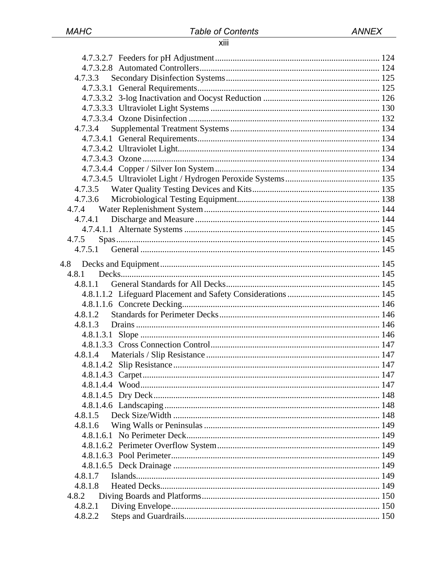### xiii

| 4.7.3.3 |  |
|---------|--|
|         |  |
|         |  |
|         |  |
|         |  |
| 4.7.3.4 |  |
|         |  |
|         |  |
|         |  |
|         |  |
|         |  |
|         |  |
| 4.7.3.6 |  |
|         |  |
| 4.7.4.1 |  |
|         |  |
| 4.7.5   |  |
|         |  |
| 4.8     |  |
| 4.8.1   |  |
| 4.8.1.1 |  |
|         |  |
|         |  |
| 4.8.1.2 |  |
| 4.8.1.3 |  |
|         |  |
|         |  |
|         |  |
|         |  |
|         |  |
|         |  |
|         |  |
|         |  |
|         |  |
| 4.8.1.6 |  |
|         |  |
|         |  |
|         |  |
|         |  |
| 4.8.1.7 |  |
| 4.8.1.8 |  |
| 4.8.2   |  |
| 4.8.2.1 |  |
| 4.8.2.2 |  |
|         |  |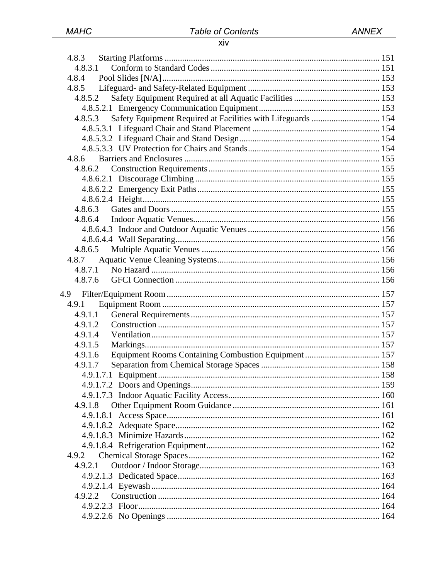#### xiv

| 4.8.3                                                                |  |
|----------------------------------------------------------------------|--|
| 4.8.3.1                                                              |  |
| 4.8.4                                                                |  |
| 4.8.5                                                                |  |
| 4.8.5.2                                                              |  |
|                                                                      |  |
| 4.8.5.3 Safety Equipment Required at Facilities with Lifeguards  154 |  |
|                                                                      |  |
|                                                                      |  |
|                                                                      |  |
| 4.8.6                                                                |  |
| 4.8.6.2                                                              |  |
|                                                                      |  |
|                                                                      |  |
|                                                                      |  |
|                                                                      |  |
|                                                                      |  |
|                                                                      |  |
|                                                                      |  |
|                                                                      |  |
| 4.8.7                                                                |  |
| 4.8.7.1                                                              |  |
| 4.8.7.6                                                              |  |
|                                                                      |  |
|                                                                      |  |
|                                                                      |  |
| 4.9.1                                                                |  |
| 4.9.1.1                                                              |  |
| 4.9.1.2                                                              |  |
| 4.9.1.4                                                              |  |
| 4.9.1.5                                                              |  |
| Equipment Rooms Containing Combustion Equipment  157<br>4.9.1.6      |  |
| 4.9.1.7                                                              |  |
| 4.9.1.7.1 Equipment                                                  |  |
|                                                                      |  |
|                                                                      |  |
| 4.9.1.8                                                              |  |
|                                                                      |  |
|                                                                      |  |
|                                                                      |  |
|                                                                      |  |
| 4.9.2                                                                |  |
| 4.9.2.1                                                              |  |
|                                                                      |  |
|                                                                      |  |
| 4.9.2.2                                                              |  |
|                                                                      |  |
|                                                                      |  |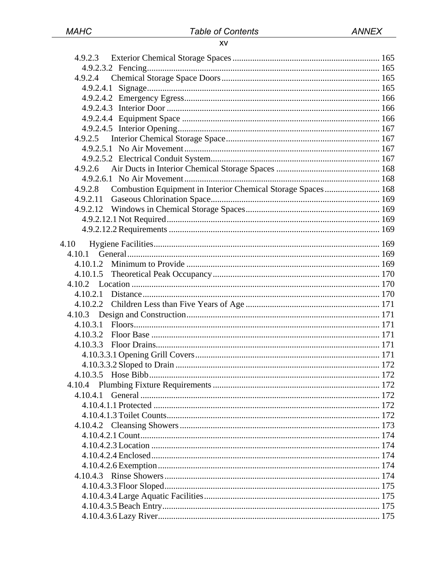| 4.9.2.4                                                                 |  |
|-------------------------------------------------------------------------|--|
|                                                                         |  |
|                                                                         |  |
|                                                                         |  |
|                                                                         |  |
|                                                                         |  |
| 4.9.2.5                                                                 |  |
|                                                                         |  |
|                                                                         |  |
| 4.9.2.6                                                                 |  |
|                                                                         |  |
| Combustion Equipment in Interior Chemical Storage Spaces 168<br>4.9.2.8 |  |
| 4.9.2.11                                                                |  |
|                                                                         |  |
|                                                                         |  |
|                                                                         |  |
| 4.10                                                                    |  |
| 4.10.1                                                                  |  |
| 4.10.1.2                                                                |  |
|                                                                         |  |
| 4.10.1.5                                                                |  |
|                                                                         |  |
| 4.10.2.1                                                                |  |
| 4.10.2.2                                                                |  |
|                                                                         |  |
| 4.10.3.1                                                                |  |
| 4.10.3.2                                                                |  |
| 4.10.3.3                                                                |  |
|                                                                         |  |
|                                                                         |  |
|                                                                         |  |
| 4.10.4                                                                  |  |
| 4.10.4.1                                                                |  |
|                                                                         |  |
|                                                                         |  |
|                                                                         |  |
|                                                                         |  |
|                                                                         |  |
|                                                                         |  |
|                                                                         |  |
|                                                                         |  |
|                                                                         |  |
|                                                                         |  |
|                                                                         |  |
|                                                                         |  |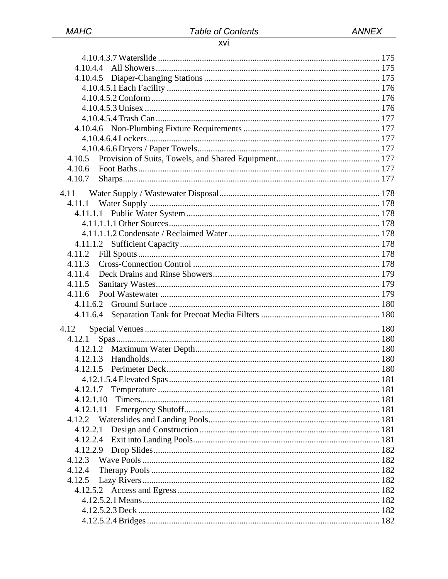#### xvi

| 4.10.4.4  |  |
|-----------|--|
|           |  |
|           |  |
|           |  |
|           |  |
|           |  |
|           |  |
|           |  |
|           |  |
| 4.10.5    |  |
| 4.10.6    |  |
| 4.10.7    |  |
|           |  |
| 4.11      |  |
| 4.11.1    |  |
|           |  |
|           |  |
|           |  |
|           |  |
| 4.11.2    |  |
| 4.11.3    |  |
| 4.11.4    |  |
| 4.11.5    |  |
| 4.11.6    |  |
| 4.11.6.2  |  |
| 4.11.6.4  |  |
|           |  |
| 4.12      |  |
| 4.12.1    |  |
|           |  |
|           |  |
| 4.12.1.5  |  |
|           |  |
| 4.12.1.7  |  |
| 4.12.1.10 |  |
| 4.12.1.11 |  |
|           |  |
| 4.12.2.1  |  |
| 4.12.2.4  |  |
| 4.12.2.9  |  |
| 4.12.3    |  |
| 4.12.4    |  |
|           |  |
| 4.12.5    |  |
|           |  |
|           |  |
|           |  |
|           |  |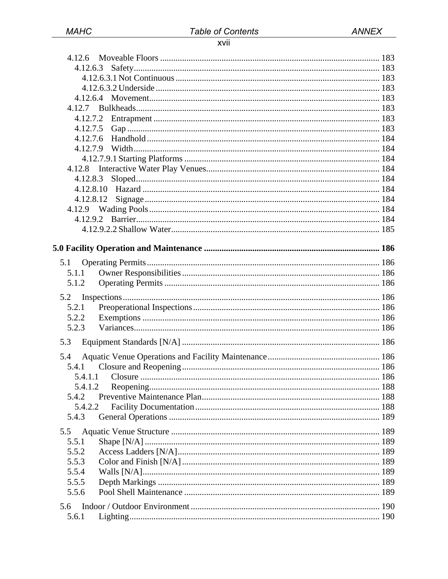# xvii

| 4.12.6       |  |
|--------------|--|
| 4.12.6.3     |  |
|              |  |
|              |  |
|              |  |
| 4.12.7       |  |
|              |  |
|              |  |
| 4.12.7.6     |  |
|              |  |
|              |  |
| 4.12.8       |  |
| 4.12.8.3     |  |
|              |  |
| 4.12.8.12    |  |
|              |  |
|              |  |
|              |  |
|              |  |
|              |  |
| 5.1<br>5.1.1 |  |
| 5.1.2        |  |
|              |  |
| 5.2          |  |
| 5.2.1        |  |
| 5.2.2        |  |
| 5.2.3        |  |
| 5.3          |  |
| 5.4          |  |
| 5.4.1        |  |
|              |  |
| 5.4.1.2      |  |
| 5.4.2        |  |
| 5.4.2.2      |  |
| 5.4.3        |  |
| 5.5          |  |
| 5.5.1        |  |
| 5.5.2        |  |
| 5.5.3        |  |
| 5.5.4        |  |
| 5.5.5        |  |
| 5.5.6        |  |
| 5.6          |  |
| 5.6.1        |  |
|              |  |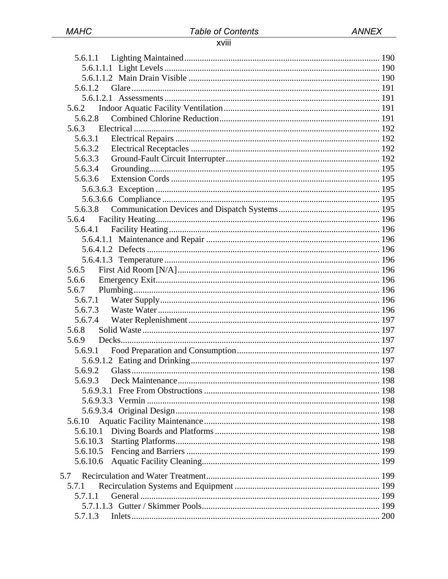# xviii

| 5.6.1.1   |  |
|-----------|--|
|           |  |
|           |  |
| 5.6.1.2   |  |
|           |  |
| 5.6.2     |  |
| 5.6.2.8   |  |
| 5.6.3     |  |
| 5.6.3.1   |  |
| 5.6.3.2   |  |
| 5.6.3.3   |  |
| 5.6.3.4   |  |
| 5.6.3.6   |  |
|           |  |
|           |  |
| 5.6.3.8   |  |
| 5.6.4     |  |
| 5.6.4.1   |  |
|           |  |
|           |  |
|           |  |
| 5.6.5     |  |
| 5.6.6     |  |
| 5.6.7     |  |
| 5.6.7.1   |  |
| 5.6.7.3   |  |
| 5.6.7.4   |  |
| 5.6.8     |  |
| 5.6.9     |  |
| 5.6.9.1   |  |
|           |  |
|           |  |
| 5.6.9.3   |  |
| 5.6.9.3.1 |  |
|           |  |
|           |  |
| 5.6.10    |  |
| 5.6.10.1  |  |
| 5.6.10.3  |  |
| 5.6.10.5  |  |
| 5.6.10.6  |  |
| 5.7       |  |
| 5.7.1     |  |
| 5.7.1.1   |  |
|           |  |
| 5.7.1.3   |  |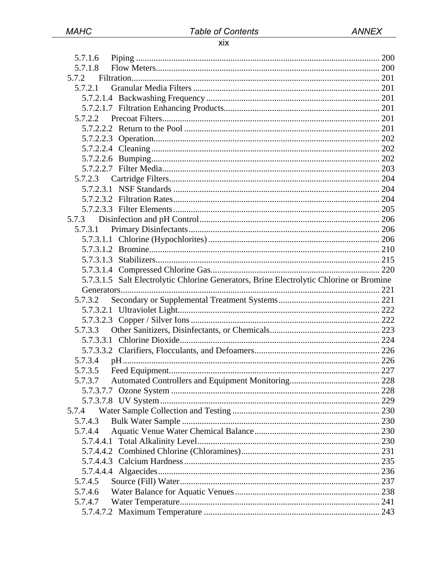#### $\overline{X}$

| 5.7.1.6                                                                                 |  |
|-----------------------------------------------------------------------------------------|--|
| 5.7.1.8                                                                                 |  |
| 5.7.2                                                                                   |  |
| 5.7.2.1                                                                                 |  |
|                                                                                         |  |
|                                                                                         |  |
|                                                                                         |  |
|                                                                                         |  |
|                                                                                         |  |
|                                                                                         |  |
| 5.7.2.2.6                                                                               |  |
|                                                                                         |  |
|                                                                                         |  |
|                                                                                         |  |
|                                                                                         |  |
|                                                                                         |  |
|                                                                                         |  |
| 5.7.3                                                                                   |  |
| 5.7.3.1                                                                                 |  |
|                                                                                         |  |
|                                                                                         |  |
|                                                                                         |  |
|                                                                                         |  |
| 5.7.3.1.5 Salt Electrolytic Chlorine Generators, Brine Electrolytic Chlorine or Bromine |  |
|                                                                                         |  |
| 5.7.3.2                                                                                 |  |
|                                                                                         |  |
|                                                                                         |  |
| 5.7.3.3                                                                                 |  |
|                                                                                         |  |
|                                                                                         |  |
| 5.7.3.4                                                                                 |  |
| 5.7.3.5                                                                                 |  |
| 5.7.3.7                                                                                 |  |
|                                                                                         |  |
|                                                                                         |  |
| 5.7.4                                                                                   |  |
| 5.7.4.3                                                                                 |  |
| 5.7.4.4                                                                                 |  |
|                                                                                         |  |
|                                                                                         |  |
|                                                                                         |  |
|                                                                                         |  |
| 5.7.4.5                                                                                 |  |
| 5.7.4.6                                                                                 |  |
| 5.7.4.7                                                                                 |  |
|                                                                                         |  |
|                                                                                         |  |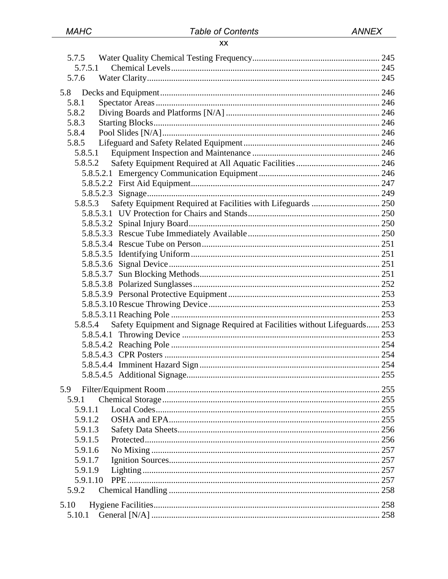| 5.7.5.1                                                                               |  |
|---------------------------------------------------------------------------------------|--|
| 5.7.6                                                                                 |  |
| 5.8                                                                                   |  |
| 5.8.1                                                                                 |  |
| 5.8.2                                                                                 |  |
| 5.8.3                                                                                 |  |
| 5.8.4                                                                                 |  |
| 5.8.5                                                                                 |  |
| 5.8.5.1                                                                               |  |
|                                                                                       |  |
|                                                                                       |  |
|                                                                                       |  |
|                                                                                       |  |
| Safety Equipment Required at Facilities with Lifeguards  250<br>5.8.5.3               |  |
|                                                                                       |  |
|                                                                                       |  |
|                                                                                       |  |
|                                                                                       |  |
|                                                                                       |  |
|                                                                                       |  |
|                                                                                       |  |
|                                                                                       |  |
|                                                                                       |  |
|                                                                                       |  |
|                                                                                       |  |
| Safety Equipment and Signage Required at Facilities without Lifeguards 253<br>5.8.5.4 |  |
|                                                                                       |  |
|                                                                                       |  |
|                                                                                       |  |
|                                                                                       |  |
|                                                                                       |  |
| 5.9                                                                                   |  |
| 5.9.1                                                                                 |  |
| 5.9.1.1                                                                               |  |
| 5.9.1.2                                                                               |  |
| 5.9.1.3                                                                               |  |
| 5.9.1.5                                                                               |  |
| 5.9.1.6                                                                               |  |
| 5.9.1.7                                                                               |  |
| 5.9.1.9                                                                               |  |
| 5.9.1.10                                                                              |  |
| 5.9.2                                                                                 |  |
| 5.10                                                                                  |  |
| 5.10.1                                                                                |  |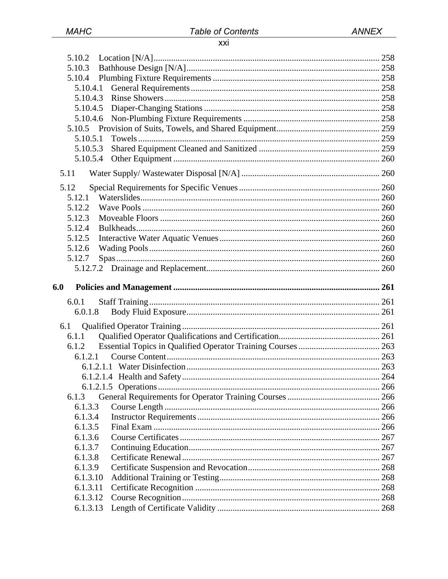# xxi

| 5.10.2               |  |
|----------------------|--|
|                      |  |
| 5.10.3               |  |
| 5.10.4               |  |
| 5.10.4.1             |  |
| 5.10.4.3             |  |
| 5.10.4.5             |  |
| 5.10.4.6             |  |
|                      |  |
| 5.10.5.1             |  |
| 5.10.5.3<br>5.10.5.4 |  |
|                      |  |
| 5.11                 |  |
| 5.12                 |  |
| 5.12.1               |  |
| 5.12.2               |  |
| 5.12.3               |  |
| 5.12.4               |  |
| 5.12.5               |  |
| 5.12.6               |  |
| 5.12.7               |  |
|                      |  |
| 6.0                  |  |
| 6.0.1                |  |
| 6.0.1.8              |  |
|                      |  |
| 6.1                  |  |
|                      |  |
| 6.1.1                |  |
| 6.1.2                |  |
| 6.1.2.1              |  |
|                      |  |
|                      |  |
|                      |  |
| 6.1.3                |  |
| 6.1.3.3              |  |
| 6.1.3.4              |  |
| 6.1.3.5              |  |
| 6.1.3.6              |  |
| 6.1.3.7              |  |
| 6.1.3.8<br>6.1.3.9   |  |
| 6.1.3.10             |  |
| 6.1.3.11             |  |
| 6.1.3.12             |  |
| 6.1.3.13             |  |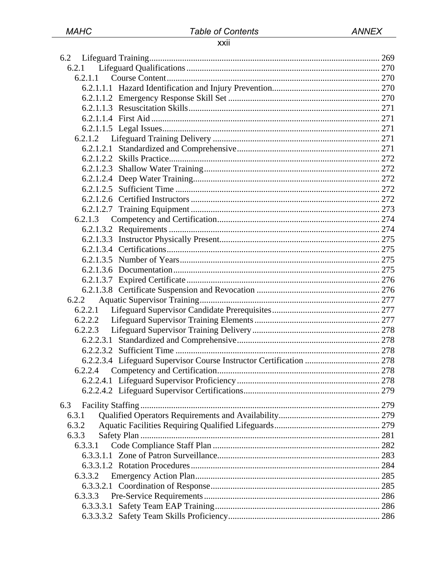# xxii

| 6.2.1   |  |
|---------|--|
| 6.2.1.1 |  |
|         |  |
|         |  |
|         |  |
|         |  |
|         |  |
| 6.2.1.2 |  |
|         |  |
|         |  |
|         |  |
|         |  |
|         |  |
|         |  |
|         |  |
|         |  |
|         |  |
|         |  |
|         |  |
|         |  |
|         |  |
|         |  |
|         |  |
| 6.2.2   |  |
|         |  |
|         |  |
|         |  |
|         |  |
|         |  |
|         |  |
|         |  |
| 6.2.2.4 |  |
|         |  |
|         |  |
| 6.3     |  |
| 6.3.1   |  |
| 6.3.2   |  |
| 6.3.3   |  |
| 6.3.3.1 |  |
|         |  |
|         |  |
| 6.3.3.2 |  |
|         |  |
| 6.3.3.3 |  |
|         |  |
|         |  |
|         |  |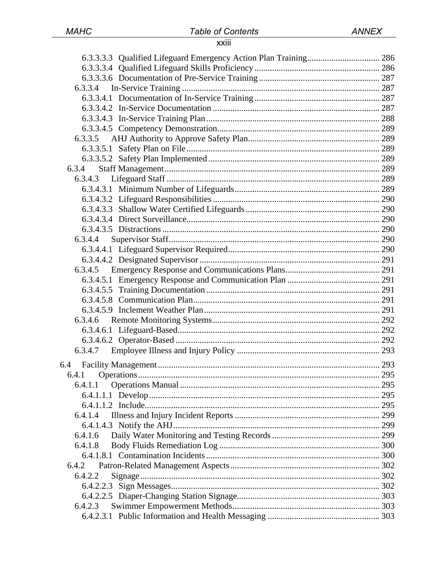#### xxiii

| 6.3.3.5 |  |
|---------|--|
|         |  |
|         |  |
| 6.3.4   |  |
| 6.3.4.3 |  |
|         |  |
|         |  |
|         |  |
|         |  |
|         |  |
| 6.3.4.4 |  |
|         |  |
|         |  |
|         |  |
|         |  |
|         |  |
|         |  |
|         |  |
| 6.3.4.6 |  |
|         |  |
|         |  |
| 6.3.4.7 |  |
|         |  |
|         |  |
| 6.4.1.1 |  |
|         |  |
|         |  |
| 6.4.1.4 |  |
|         |  |
| 6.4.1.6 |  |
| 6.4.1.8 |  |
|         |  |
| 6.4.2   |  |
| 6.4.2.2 |  |
|         |  |
|         |  |
| 6.4.2.3 |  |
|         |  |
|         |  |